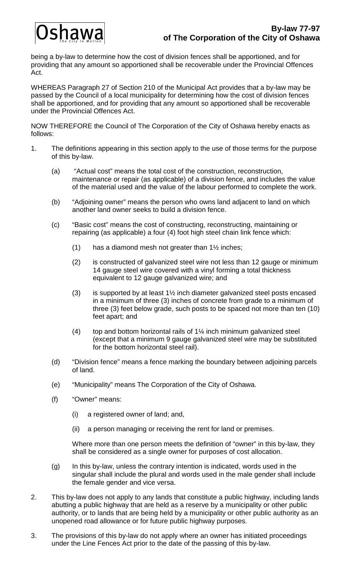# shawa

being a by-law to determine how the cost of division fences shall be apportioned, and for providing that any amount so apportioned shall be recoverable under the Provincial Offences Act.

WHEREAS Paragraph 27 of Section 210 of the Municipal Act provides that a by-law may be passed by the Council of a local municipality for determining how the cost of division fences shall be apportioned, and for providing that any amount so apportioned shall be recoverable under the Provincial Offences Act.

NOW THEREFORE the Council of The Corporation of the City of Oshawa hereby enacts as follows:

- 1. The definitions appearing in this section apply to the use of those terms for the purpose of this by-law.
	- (a) "Actual cost" means the total cost of the construction, reconstruction, maintenance or repair (as applicable) of a division fence, and includes the value of the material used and the value of the labour performed to complete the work.
	- (b) "Adjoining owner" means the person who owns land adjacent to land on which another land owner seeks to build a division fence.
	- (c) "Basic cost" means the cost of constructing, reconstructing, maintaining or repairing (as applicable) a four (4) foot high steel chain link fence which:
		- (1) has a diamond mesh not greater than  $1\frac{1}{2}$  inches;
		- (2) is constructed of galvanized steel wire not less than 12 gauge or minimum 14 gauge steel wire covered with a vinyl forming a total thickness equivalent to 12 gauge galvanized wire; and
		- (3) is supported by at least  $1\frac{1}{2}$  inch diameter galvanized steel posts encased in a minimum of three (3) inches of concrete from grade to a minimum of three (3) feet below grade, such posts to be spaced not more than ten (10) feet apart; and
		- (4) top and bottom horizontal rails of  $1\frac{1}{4}$  inch minimum galvanized steel (except that a minimum 9 gauge galvanized steel wire may be substituted for the bottom horizontal steel rail).
	- (d) "Division fence" means a fence marking the boundary between adjoining parcels of land.
	- (e) "Municipality" means The Corporation of the City of Oshawa.
	- (f) "Owner" means:
		- (i) a registered owner of land; and,
		- (ii) a person managing or receiving the rent for land or premises.

Where more than one person meets the definition of "owner" in this by-law, they shall be considered as a single owner for purposes of cost allocation.

- (g) In this by-law, unless the contrary intention is indicated, words used in the singular shall include the plural and words used in the male gender shall include the female gender and vice versa.
- 2. This by-law does not apply to any lands that constitute a public highway, including lands abutting a public highway that are held as a reserve by a municipality or other public authority, or to lands that are being held by a municipality or other public authority as an unopened road allowance or for future public highway purposes.
- 3. The provisions of this by-law do not apply where an owner has initiated proceedings under the Line Fences Act prior to the date of the passing of this by-law.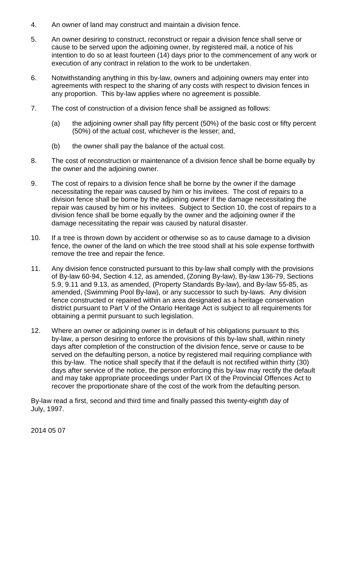- 4. An owner of land may construct and maintain a division fence.
- 5. An owner desiring to construct, reconstruct or repair a division fence shall serve or cause to be served upon the adjoining owner, by registered mail, a notice of his intention to do so at least fourteen (14) days prior to the commencement of any work or execution of any contract in relation to the work to be undertaken.
- 6. Notwithstanding anything in this by-law, owners and adjoining owners may enter into agreements with respect to the sharing of any costs with respect to division fences in any proportion. This by-law applies where no agreement is possible.
- 7. The cost of construction of a division fence shall be assigned as follows:
	- (a) the adjoining owner shall pay fifty percent (50%) of the basic cost or fifty percent (50%) of the actual cost, whichever is the lesser; and,
	- (b) the owner shall pay the balance of the actual cost.
- 8. The cost of reconstruction or maintenance of a division fence shall be borne equally by the owner and the adjoining owner.
- 9. The cost of repairs to a division fence shall be borne by the owner if the damage necessitating the repair was caused by him or his invitees. The cost of repairs to a division fence shall be borne by the adjoining owner if the damage necessitating the repair was caused by him or his invitees. Subject to Section 10, the cost of repairs to a division fence shall be borne equally by the owner and the adjoining owner if the damage necessitating the repair was caused by natural disaster.
- 10. If a tree is thrown down by accident or otherwise so as to cause damage to a division fence, the owner of the land on which the tree stood shall at his sole expense forthwith remove the tree and repair the fence.
- 11. Any division fence constructed pursuant to this by-law shall comply with the provisions of By-law 60-94, Section 4.12, as amended, (Zoning By-law), By-law 136-79, Sections 5.9, 9.11 and 9.13, as amended, (Property Standards By-law), and By-law 55-85, as amended, (Swimming Pool By-law), or any successor to such by-laws. Any division fence constructed or repaired within an area designated as a heritage conservation district pursuant to Part V of the Ontario Heritage Act is subject to all requirements for obtaining a permit pursuant to such legislation.
- 12. Where an owner or adjoining owner is in default of his obligations pursuant to this by-law, a person desiring to enforce the provisions of this by-law shall, within ninety days after completion of the construction of the division fence, serve or cause to be served on the defaulting person, a notice by registered mail requiring compliance with this by-law. The notice shall specify that if the default is not rectified within thirty (30) days after service of the notice, the person enforcing this by-law may rectify the default and may take appropriate proceedings under Part IX of the Provincial Offences Act to recover the proportionate share of the cost of the work from the defaulting person.

By-law read a first, second and third time and finally passed this twenty-eighth day of July, 1997.

2014 05 07